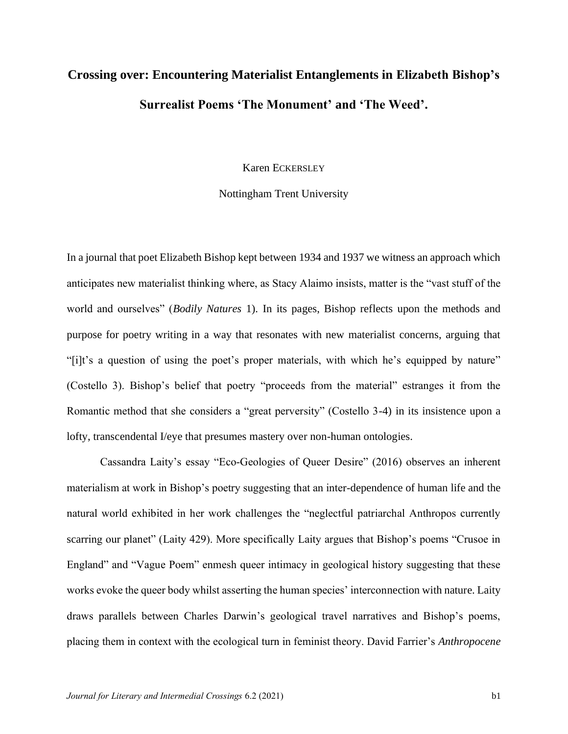# **Crossing over: Encountering Materialist Entanglements in Elizabeth Bishop's Surrealist Poems 'The Monument' and 'The Weed'.**

Karen ECKERSLEY

# Nottingham Trent University

In a journal that poet Elizabeth Bishop kept between 1934 and 1937 we witness an approach which anticipates new materialist thinking where, as Stacy Alaimo insists, matter is the "vast stuff of the world and ourselves" (*Bodily Natures* 1). In its pages, Bishop reflects upon the methods and purpose for poetry writing in a way that resonates with new materialist concerns, arguing that "[i]t's a question of using the poet's proper materials, with which he's equipped by nature" (Costello 3). Bishop's belief that poetry "proceeds from the material" estranges it from the Romantic method that she considers a "great perversity" (Costello 3-4) in its insistence upon a lofty, transcendental I/eye that presumes mastery over non-human ontologies.

Cassandra Laity's essay "Eco-Geologies of Queer Desire" (2016) observes an inherent materialism at work in Bishop's poetry suggesting that an inter-dependence of human life and the natural world exhibited in her work challenges the "neglectful patriarchal Anthropos currently scarring our planet" (Laity 429). More specifically Laity argues that Bishop's poems "Crusoe in England" and "Vague Poem" enmesh queer intimacy in geological history suggesting that these works evoke the queer body whilst asserting the human species' interconnection with nature. Laity draws parallels between Charles Darwin's geological travel narratives and Bishop's poems, placing them in context with the ecological turn in feminist theory. David Farrier's *Anthropocene*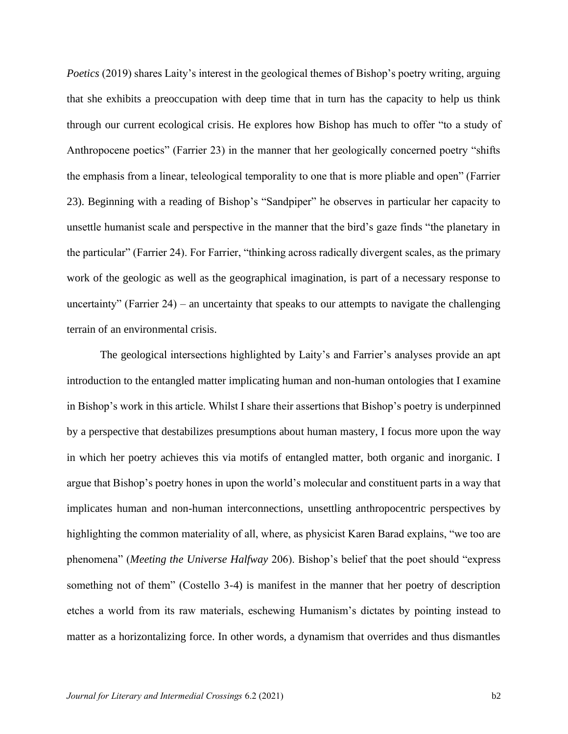*Poetics* (2019) shares Laity's interest in the geological themes of Bishop's poetry writing, arguing that she exhibits a preoccupation with deep time that in turn has the capacity to help us think through our current ecological crisis. He explores how Bishop has much to offer "to a study of Anthropocene poetics" (Farrier 23) in the manner that her geologically concerned poetry "shifts the emphasis from a linear, teleological temporality to one that is more pliable and open" (Farrier 23). Beginning with a reading of Bishop's "Sandpiper" he observes in particular her capacity to unsettle humanist scale and perspective in the manner that the bird's gaze finds "the planetary in the particular" (Farrier 24). For Farrier, "thinking across radically divergent scales, as the primary work of the geologic as well as the geographical imagination, is part of a necessary response to uncertainty" (Farrier 24) – an uncertainty that speaks to our attempts to navigate the challenging terrain of an environmental crisis.

The geological intersections highlighted by Laity's and Farrier's analyses provide an apt introduction to the entangled matter implicating human and non-human ontologies that I examine in Bishop's work in this article. Whilst I share their assertions that Bishop's poetry is underpinned by a perspective that destabilizes presumptions about human mastery, I focus more upon the way in which her poetry achieves this via motifs of entangled matter, both organic and inorganic. I argue that Bishop's poetry hones in upon the world's molecular and constituent parts in a way that implicates human and non-human interconnections, unsettling anthropocentric perspectives by highlighting the common materiality of all, where, as physicist Karen Barad explains, "we too are phenomena" (*Meeting the Universe Halfway* 206). Bishop's belief that the poet should "express something not of them" (Costello 3-4) is manifest in the manner that her poetry of description etches a world from its raw materials, eschewing Humanism's dictates by pointing instead to matter as a horizontalizing force. In other words, a dynamism that overrides and thus dismantles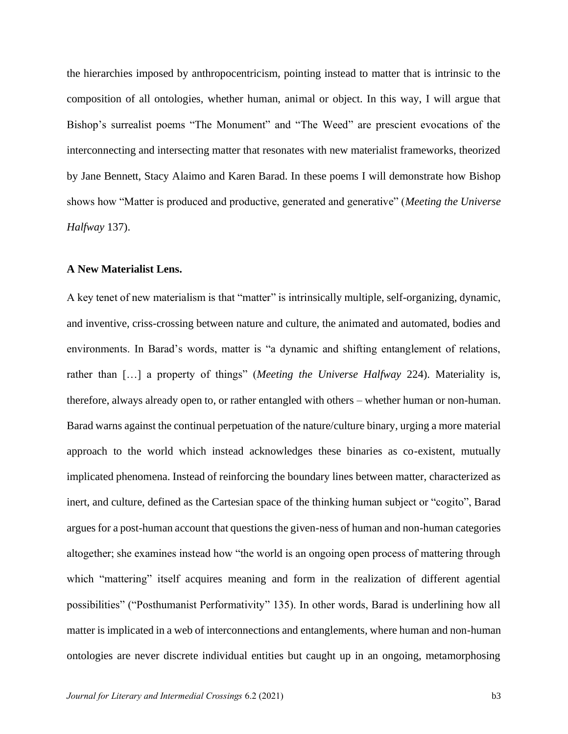the hierarchies imposed by anthropocentricism, pointing instead to matter that is intrinsic to the composition of all ontologies, whether human, animal or object. In this way, I will argue that Bishop's surrealist poems "The Monument" and "The Weed" are prescient evocations of the interconnecting and intersecting matter that resonates with new materialist frameworks, theorized by Jane Bennett, Stacy Alaimo and Karen Barad. In these poems I will demonstrate how Bishop shows how "Matter is produced and productive, generated and generative" (*Meeting the Universe Halfway* 137).

#### **A New Materialist Lens.**

A key tenet of new materialism is that "matter" is intrinsically multiple, self-organizing, dynamic, and inventive, criss-crossing between nature and culture, the animated and automated, bodies and environments. In Barad's words, matter is "a dynamic and shifting entanglement of relations, rather than […] a property of things" (*Meeting the Universe Halfway* 224). Materiality is, therefore, always already open to, or rather entangled with others – whether human or non-human. Barad warns against the continual perpetuation of the nature/culture binary, urging a more material approach to the world which instead acknowledges these binaries as co-existent, mutually implicated phenomena. Instead of reinforcing the boundary lines between matter, characterized as inert, and culture, defined as the Cartesian space of the thinking human subject or "cogito", Barad argues for a post-human account that questions the given-ness of human and non-human categories altogether; she examines instead how "the world is an ongoing open process of mattering through which "mattering" itself acquires meaning and form in the realization of different agential possibilities" ("Posthumanist Performativity" 135). In other words, Barad is underlining how all matter is implicated in a web of interconnections and entanglements, where human and non-human ontologies are never discrete individual entities but caught up in an ongoing, metamorphosing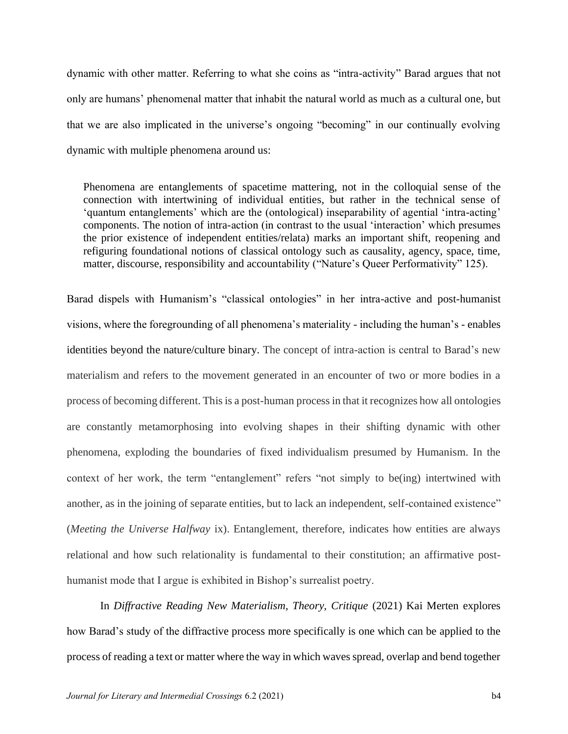dynamic with other matter. Referring to what she coins as "intra-activity" Barad argues that not only are humans' phenomenal matter that inhabit the natural world as much as a cultural one, but that we are also implicated in the universe's ongoing "becoming" in our continually evolving dynamic with multiple phenomena around us:

Phenomena are entanglements of spacetime mattering, not in the colloquial sense of the connection with intertwining of individual entities, but rather in the technical sense of 'quantum entanglements' which are the (ontological) inseparability of agential 'intra-acting' components. The notion of intra-action (in contrast to the usual 'interaction' which presumes the prior existence of independent entities/relata) marks an important shift, reopening and refiguring foundational notions of classical ontology such as causality, agency, space, time, matter, discourse, responsibility and accountability ("Nature's Queer Performativity" 125).

Barad dispels with Humanism's "classical ontologies" in her intra-active and post-humanist visions, where the foregrounding of all phenomena's materiality - including the human's - enables identities beyond the nature/culture binary. The concept of intra-action is central to Barad's new materialism and refers to the movement generated in an encounter of two or more bodies in a process of becoming different. This is a post-human process in that it recognizes how all ontologies are constantly metamorphosing into evolving shapes in their shifting dynamic with other phenomena, exploding the boundaries of fixed individualism presumed by Humanism. In the context of her work, the term "entanglement" refers "not simply to be(ing) intertwined with another, as in the joining of separate entities, but to lack an independent, self-contained existence" (*Meeting the Universe Halfway* ix). Entanglement, therefore, indicates how entities are always relational and how such relationality is fundamental to their constitution; an affirmative posthumanist mode that I argue is exhibited in Bishop's surrealist poetry.

In *Diffractive Reading New Materialism, Theory, Critique* (2021) Kai Merten explores how Barad's study of the diffractive process more specifically is one which can be applied to the process of reading a text or matter where the way in which waves spread, overlap and bend together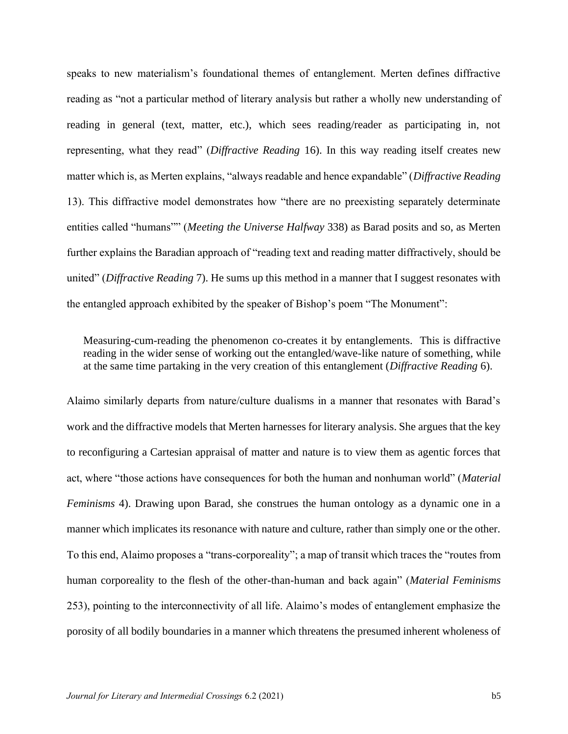speaks to new materialism's foundational themes of entanglement. Merten defines diffractive reading as "not a particular method of literary analysis but rather a wholly new understanding of reading in general (text, matter, etc.), which sees reading/reader as participating in, not representing, what they read" (*Diffractive Reading* 16). In this way reading itself creates new matter which is, as Merten explains, "always readable and hence expandable" (*Diffractive Reading* 13). This diffractive model demonstrates how "there are no preexisting separately determinate entities called "humans"" (*Meeting the Universe Halfway* 338) as Barad posits and so, as Merten further explains the Baradian approach of "reading text and reading matter diffractively, should be united" (*Diffractive Reading* 7). He sums up this method in a manner that I suggest resonates with the entangled approach exhibited by the speaker of Bishop's poem "The Monument":

Measuring-cum-reading the phenomenon co-creates it by entanglements. This is diffractive reading in the wider sense of working out the entangled/wave-like nature of something, while at the same time partaking in the very creation of this entanglement (*Diffractive Reading* 6).

Alaimo similarly departs from nature/culture dualisms in a manner that resonates with Barad's work and the diffractive models that Merten harnesses for literary analysis. She argues that the key to reconfiguring a Cartesian appraisal of matter and nature is to view them as agentic forces that act, where "those actions have consequences for both the human and nonhuman world" (*Material Feminisms* 4). Drawing upon Barad, she construes the human ontology as a dynamic one in a manner which implicates its resonance with nature and culture, rather than simply one or the other. To this end, Alaimo proposes a "trans-corporeality"; a map of transit which traces the "routes from human corporeality to the flesh of the other-than-human and back again" (*Material Feminisms* 253), pointing to the interconnectivity of all life. Alaimo's modes of entanglement emphasize the porosity of all bodily boundaries in a manner which threatens the presumed inherent wholeness of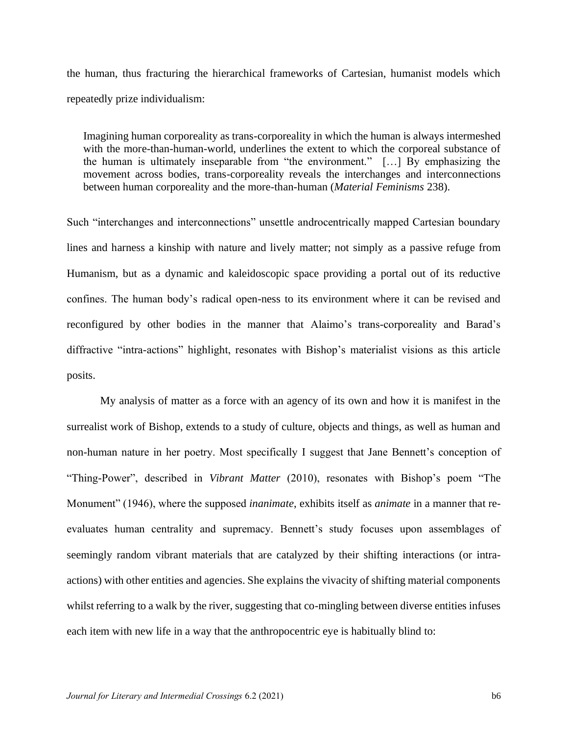the human, thus fracturing the hierarchical frameworks of Cartesian, humanist models which repeatedly prize individualism:

Imagining human corporeality as trans-corporeality in which the human is always intermeshed with the more-than-human-world, underlines the extent to which the corporeal substance of the human is ultimately inseparable from "the environment." […] By emphasizing the movement across bodies, trans-corporeality reveals the interchanges and interconnections between human corporeality and the more-than-human (*Material Feminisms* 238).

Such "interchanges and interconnections" unsettle androcentrically mapped Cartesian boundary lines and harness a kinship with nature and lively matter; not simply as a passive refuge from Humanism, but as a dynamic and kaleidoscopic space providing a portal out of its reductive confines. The human body's radical open-ness to its environment where it can be revised and reconfigured by other bodies in the manner that Alaimo's trans-corporeality and Barad's diffractive "intra-actions" highlight, resonates with Bishop's materialist visions as this article posits.

My analysis of matter as a force with an agency of its own and how it is manifest in the surrealist work of Bishop, extends to a study of culture, objects and things, as well as human and non-human nature in her poetry. Most specifically I suggest that Jane Bennett's conception of "Thing-Power", described in *Vibrant Matter* (2010), resonates with Bishop's poem "The Monument" (1946), where the supposed *inanimate*, exhibits itself as *animate* in a manner that reevaluates human centrality and supremacy. Bennett's study focuses upon assemblages of seemingly random vibrant materials that are catalyzed by their shifting interactions (or intraactions) with other entities and agencies. She explains the vivacity of shifting material components whilst referring to a walk by the river, suggesting that co-mingling between diverse entities infuses each item with new life in a way that the anthropocentric eye is habitually blind to: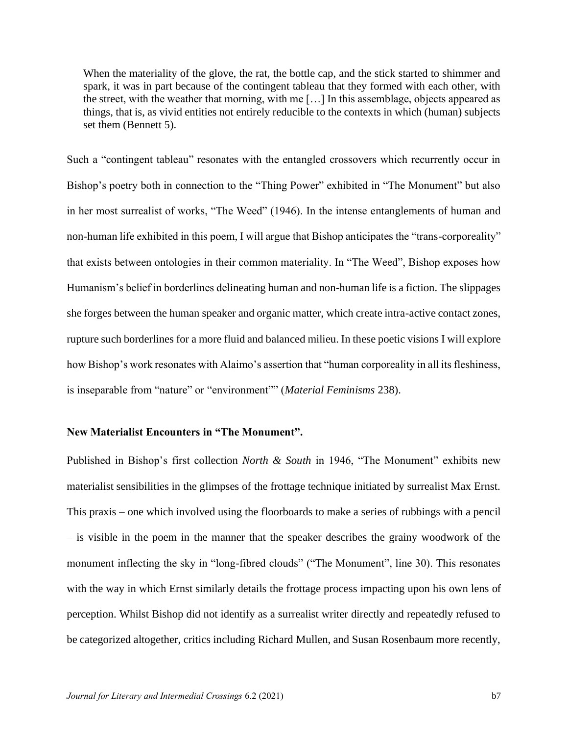When the materiality of the glove, the rat, the bottle cap, and the stick started to shimmer and spark, it was in part because of the contingent tableau that they formed with each other, with the street, with the weather that morning, with me […] In this assemblage, objects appeared as things, that is, as vivid entities not entirely reducible to the contexts in which (human) subjects set them (Bennett 5).

Such a "contingent tableau" resonates with the entangled crossovers which recurrently occur in Bishop's poetry both in connection to the "Thing Power" exhibited in "The Monument" but also in her most surrealist of works, "The Weed" (1946). In the intense entanglements of human and non-human life exhibited in this poem, I will argue that Bishop anticipates the "trans-corporeality" that exists between ontologies in their common materiality. In "The Weed", Bishop exposes how Humanism's belief in borderlines delineating human and non-human life is a fiction. The slippages she forges between the human speaker and organic matter, which create intra-active contact zones, rupture such borderlines for a more fluid and balanced milieu. In these poetic visions I will explore how Bishop's work resonates with Alaimo's assertion that "human corporeality in all its fleshiness, is inseparable from "nature" or "environment"" (*Material Feminisms* 238).

# **New Materialist Encounters in "The Monument".**

Published in Bishop's first collection *North & South* in 1946, "The Monument" exhibits new materialist sensibilities in the glimpses of the frottage technique initiated by surrealist Max Ernst. This praxis – one which involved using the floorboards to make a series of rubbings with a pencil – is visible in the poem in the manner that the speaker describes the grainy woodwork of the monument inflecting the sky in "long-fibred clouds" ("The Monument", line 30). This resonates with the way in which Ernst similarly details the frottage process impacting upon his own lens of perception. Whilst Bishop did not identify as a surrealist writer directly and repeatedly refused to be categorized altogether, critics including Richard Mullen, and Susan Rosenbaum more recently,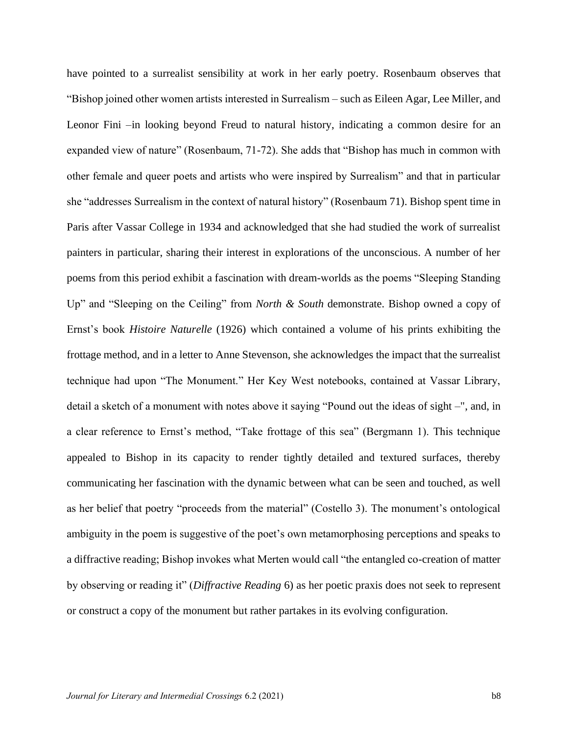have pointed to a surrealist sensibility at work in her early poetry. Rosenbaum observes that "Bishop joined other women artists interested in Surrealism – such as Eileen Agar, Lee Miller, and Leonor Fini –in looking beyond Freud to natural history, indicating a common desire for an expanded view of nature" (Rosenbaum, 71-72). She adds that "Bishop has much in common with other female and queer poets and artists who were inspired by Surrealism" and that in particular she "addresses Surrealism in the context of natural history" (Rosenbaum 71). Bishop spent time in Paris after Vassar College in 1934 and acknowledged that she had studied the work of surrealist painters in particular, sharing their interest in explorations of the unconscious. A number of her poems from this period exhibit a fascination with dream-worlds as the poems "Sleeping Standing Up" and "Sleeping on the Ceiling" from *North & South* demonstrate. Bishop owned a copy of Ernst's book *Histoire Naturelle* (1926) which contained a volume of his prints exhibiting the frottage method, and in a letter to Anne Stevenson, she acknowledges the impact that the surrealist technique had upon "The Monument." Her Key West notebooks, contained at Vassar Library, detail a sketch of a monument with notes above it saying "Pound out the ideas of sight –", and, in a clear reference to Ernst's method, "Take frottage of this sea" (Bergmann 1). This technique appealed to Bishop in its capacity to render tightly detailed and textured surfaces, thereby communicating her fascination with the dynamic between what can be seen and touched, as well as her belief that poetry "proceeds from the material" (Costello 3). The monument's ontological ambiguity in the poem is suggestive of the poet's own metamorphosing perceptions and speaks to a diffractive reading; Bishop invokes what Merten would call "the entangled co-creation of matter by observing or reading it" (*Diffractive Reading* 6) as her poetic praxis does not seek to represent or construct a copy of the monument but rather partakes in its evolving configuration.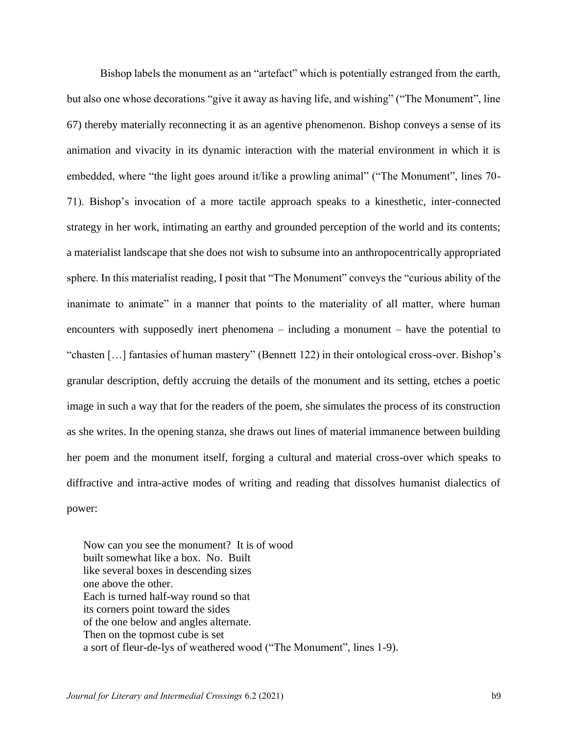Bishop labels the monument as an "artefact" which is potentially estranged from the earth, but also one whose decorations "give it away as having life, and wishing" ("The Monument", line 67) thereby materially reconnecting it as an agentive phenomenon. Bishop conveys a sense of its animation and vivacity in its dynamic interaction with the material environment in which it is embedded, where "the light goes around it/like a prowling animal" ("The Monument", lines 70- 71). Bishop's invocation of a more tactile approach speaks to a kinesthetic, inter-connected strategy in her work, intimating an earthy and grounded perception of the world and its contents; a materialist landscape that she does not wish to subsume into an anthropocentrically appropriated sphere. In this materialist reading, I posit that "The Monument" conveys the "curious ability of the inanimate to animate" in a manner that points to the materiality of all matter, where human encounters with supposedly inert phenomena – including a monument – have the potential to "chasten […] fantasies of human mastery" (Bennett 122) in their ontological cross-over. Bishop's granular description, deftly accruing the details of the monument and its setting, etches a poetic image in such a way that for the readers of the poem, she simulates the process of its construction as she writes. In the opening stanza, she draws out lines of material immanence between building her poem and the monument itself, forging a cultural and material cross-over which speaks to diffractive and intra-active modes of writing and reading that dissolves humanist dialectics of power:

Now can you see the monument? It is of wood built somewhat like a box. No. Built like several boxes in descending sizes one above the other. Each is turned half-way round so that its corners point toward the sides of the one below and angles alternate. Then on the topmost cube is set a sort of fleur-de-lys of weathered wood ("The Monument", lines 1-9).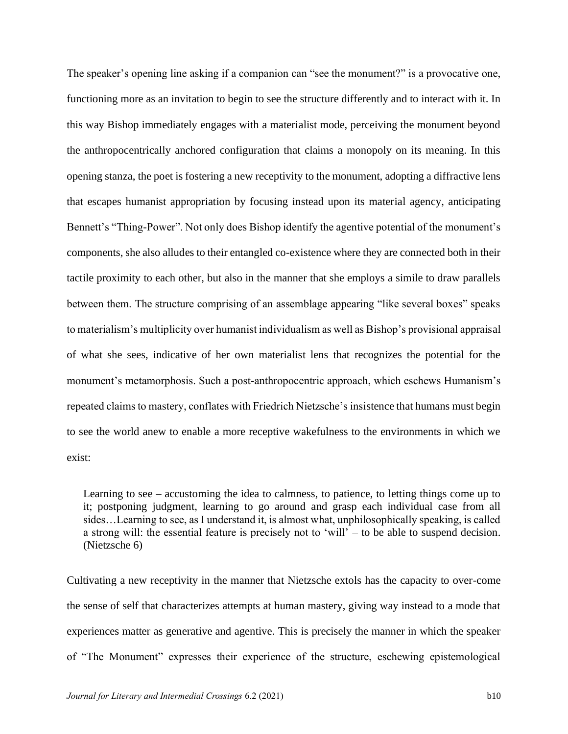The speaker's opening line asking if a companion can "see the monument?" is a provocative one, functioning more as an invitation to begin to see the structure differently and to interact with it. In this way Bishop immediately engages with a materialist mode, perceiving the monument beyond the anthropocentrically anchored configuration that claims a monopoly on its meaning. In this opening stanza, the poet is fostering a new receptivity to the monument, adopting a diffractive lens that escapes humanist appropriation by focusing instead upon its material agency, anticipating Bennett's "Thing-Power". Not only does Bishop identify the agentive potential of the monument's components, she also alludes to their entangled co-existence where they are connected both in their tactile proximity to each other, but also in the manner that she employs a simile to draw parallels between them. The structure comprising of an assemblage appearing "like several boxes" speaks to materialism's multiplicity over humanist individualism as well as Bishop's provisional appraisal of what she sees, indicative of her own materialist lens that recognizes the potential for the monument's metamorphosis. Such a post-anthropocentric approach, which eschews Humanism's repeated claims to mastery, conflates with Friedrich Nietzsche's insistence that humans must begin to see the world anew to enable a more receptive wakefulness to the environments in which we exist:

Learning to see – accustoming the idea to calmness, to patience, to letting things come up to it; postponing judgment, learning to go around and grasp each individual case from all sides…Learning to see, as I understand it, is almost what, unphilosophically speaking, is called a strong will: the essential feature is precisely not to 'will' – to be able to suspend decision. (Nietzsche 6)

Cultivating a new receptivity in the manner that Nietzsche extols has the capacity to over-come the sense of self that characterizes attempts at human mastery, giving way instead to a mode that experiences matter as generative and agentive. This is precisely the manner in which the speaker of "The Monument" expresses their experience of the structure, eschewing epistemological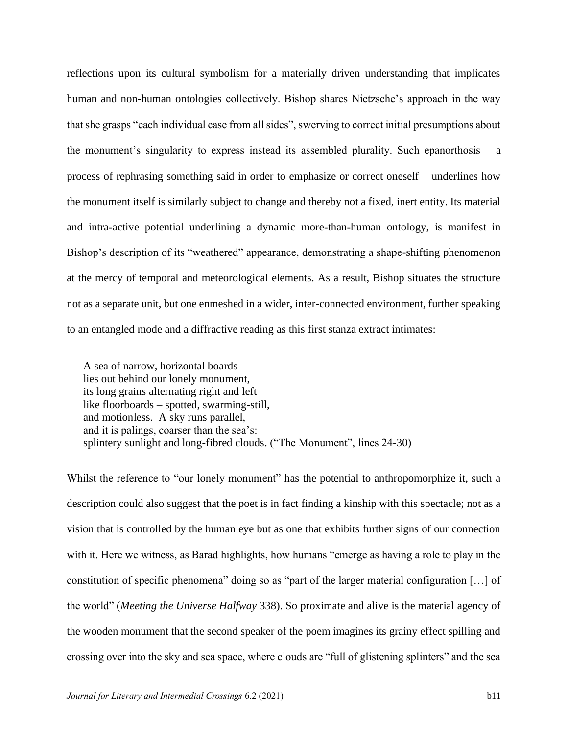reflections upon its cultural symbolism for a materially driven understanding that implicates human and non-human ontologies collectively. Bishop shares Nietzsche's approach in the way that she grasps "each individual case from all sides", swerving to correct initial presumptions about the monument's singularity to express instead its assembled plurality. Such epanorthosis – a process of rephrasing something said in order to emphasize or correct oneself – underlines how the monument itself is similarly subject to change and thereby not a fixed, inert entity. Its material and intra-active potential underlining a dynamic more-than-human ontology, is manifest in Bishop's description of its "weathered" appearance, demonstrating a shape-shifting phenomenon at the mercy of temporal and meteorological elements. As a result, Bishop situates the structure not as a separate unit, but one enmeshed in a wider, inter-connected environment, further speaking to an entangled mode and a diffractive reading as this first stanza extract intimates:

A sea of narrow, horizontal boards lies out behind our lonely monument, its long grains alternating right and left like floorboards – spotted, swarming-still, and motionless. A sky runs parallel, and it is palings, coarser than the sea's: splintery sunlight and long-fibred clouds. ("The Monument", lines 24-30)

Whilst the reference to "our lonely monument" has the potential to anthropomorphize it, such a description could also suggest that the poet is in fact finding a kinship with this spectacle; not as a vision that is controlled by the human eye but as one that exhibits further signs of our connection with it. Here we witness, as Barad highlights, how humans "emerge as having a role to play in the constitution of specific phenomena" doing so as "part of the larger material configuration […] of the world" (*Meeting the Universe Halfway* 338). So proximate and alive is the material agency of the wooden monument that the second speaker of the poem imagines its grainy effect spilling and crossing over into the sky and sea space, where clouds are "full of glistening splinters" and the sea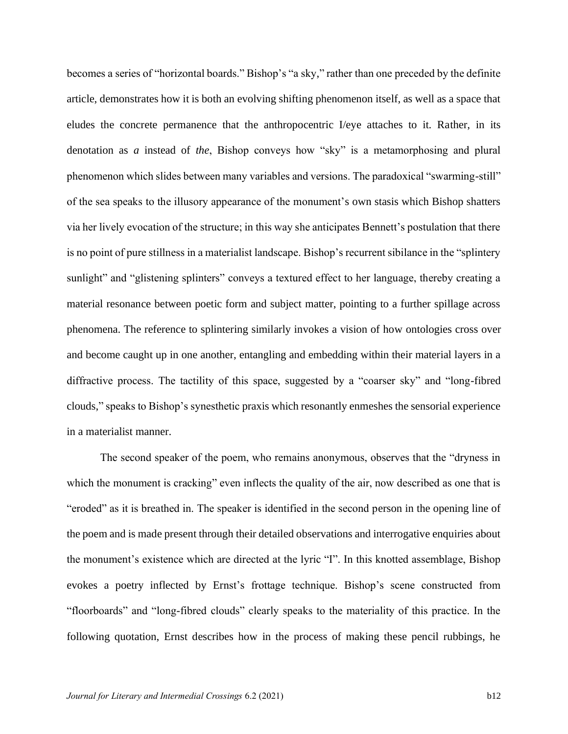becomes a series of "horizontal boards." Bishop's "a sky," rather than one preceded by the definite article, demonstrates how it is both an evolving shifting phenomenon itself, as well as a space that eludes the concrete permanence that the anthropocentric I/eye attaches to it. Rather, in its denotation as *a* instead of *the*, Bishop conveys how "sky" is a metamorphosing and plural phenomenon which slides between many variables and versions. The paradoxical "swarming-still" of the sea speaks to the illusory appearance of the monument's own stasis which Bishop shatters via her lively evocation of the structure; in this way she anticipates Bennett's postulation that there is no point of pure stillness in a materialist landscape. Bishop's recurrent sibilance in the "splintery sunlight" and "glistening splinters" conveys a textured effect to her language, thereby creating a material resonance between poetic form and subject matter, pointing to a further spillage across phenomena. The reference to splintering similarly invokes a vision of how ontologies cross over and become caught up in one another, entangling and embedding within their material layers in a diffractive process. The tactility of this space, suggested by a "coarser sky" and "long-fibred clouds," speaks to Bishop's synesthetic praxis which resonantly enmeshes the sensorial experience in a materialist manner.

The second speaker of the poem, who remains anonymous, observes that the "dryness in which the monument is cracking" even inflects the quality of the air, now described as one that is "eroded" as it is breathed in. The speaker is identified in the second person in the opening line of the poem and is made present through their detailed observations and interrogative enquiries about the monument's existence which are directed at the lyric "I". In this knotted assemblage, Bishop evokes a poetry inflected by Ernst's frottage technique. Bishop's scene constructed from "floorboards" and "long-fibred clouds" clearly speaks to the materiality of this practice. In the following quotation, Ernst describes how in the process of making these pencil rubbings, he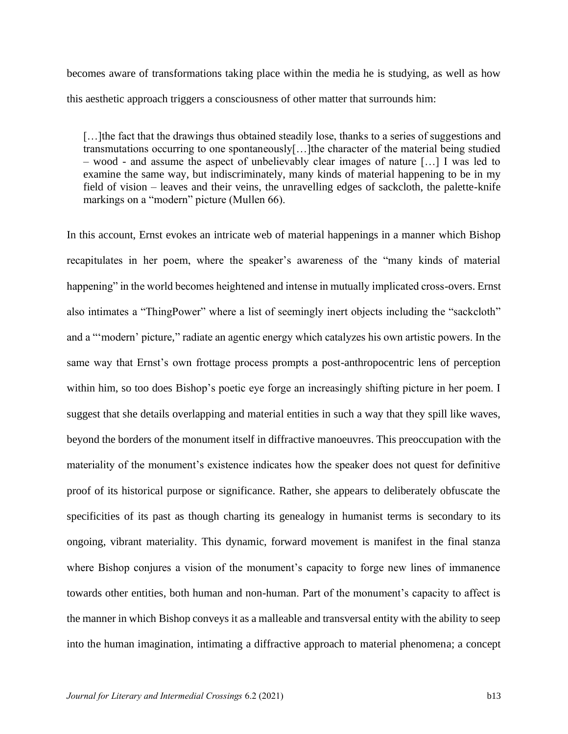becomes aware of transformations taking place within the media he is studying, as well as how this aesthetic approach triggers a consciousness of other matter that surrounds him:

[...] the fact that the drawings thus obtained steadily lose, thanks to a series of suggestions and transmutations occurring to one spontaneously[…]the character of the material being studied – wood - and assume the aspect of unbelievably clear images of nature […] I was led to examine the same way, but indiscriminately, many kinds of material happening to be in my field of vision – leaves and their veins, the unravelling edges of sackcloth, the palette-knife markings on a "modern" picture (Mullen 66).

In this account, Ernst evokes an intricate web of material happenings in a manner which Bishop recapitulates in her poem, where the speaker's awareness of the "many kinds of material happening" in the world becomes heightened and intense in mutually implicated cross-overs. Ernst also intimates a "ThingPower" where a list of seemingly inert objects including the "sackcloth" and a "'modern' picture," radiate an agentic energy which catalyzes his own artistic powers. In the same way that Ernst's own frottage process prompts a post-anthropocentric lens of perception within him, so too does Bishop's poetic eye forge an increasingly shifting picture in her poem. I suggest that she details overlapping and material entities in such a way that they spill like waves, beyond the borders of the monument itself in diffractive manoeuvres. This preoccupation with the materiality of the monument's existence indicates how the speaker does not quest for definitive proof of its historical purpose or significance. Rather, she appears to deliberately obfuscate the specificities of its past as though charting its genealogy in humanist terms is secondary to its ongoing, vibrant materiality. This dynamic, forward movement is manifest in the final stanza where Bishop conjures a vision of the monument's capacity to forge new lines of immanence towards other entities, both human and non-human. Part of the monument's capacity to affect is the manner in which Bishop conveys it as a malleable and transversal entity with the ability to seep into the human imagination, intimating a diffractive approach to material phenomena; a concept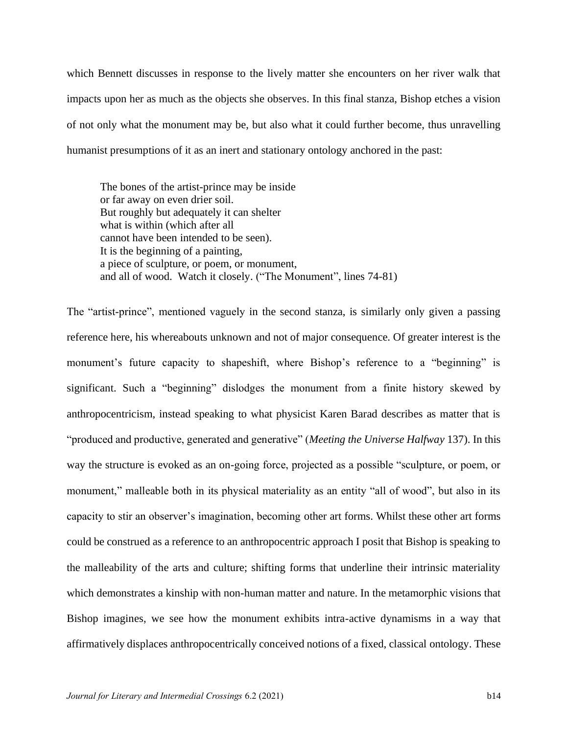which Bennett discusses in response to the lively matter she encounters on her river walk that impacts upon her as much as the objects she observes. In this final stanza, Bishop etches a vision of not only what the monument may be, but also what it could further become, thus unravelling humanist presumptions of it as an inert and stationary ontology anchored in the past:

The bones of the artist-prince may be inside or far away on even drier soil. But roughly but adequately it can shelter what is within (which after all cannot have been intended to be seen). It is the beginning of a painting, a piece of sculpture, or poem, or monument, and all of wood. Watch it closely. ("The Monument", lines 74-81)

The "artist-prince", mentioned vaguely in the second stanza, is similarly only given a passing reference here, his whereabouts unknown and not of major consequence. Of greater interest is the monument's future capacity to shapeshift, where Bishop's reference to a "beginning" is significant. Such a "beginning" dislodges the monument from a finite history skewed by anthropocentricism, instead speaking to what physicist Karen Barad describes as matter that is "produced and productive, generated and generative" (*Meeting the Universe Halfway* 137). In this way the structure is evoked as an on-going force, projected as a possible "sculpture, or poem, or monument," malleable both in its physical materiality as an entity "all of wood", but also in its capacity to stir an observer's imagination, becoming other art forms. Whilst these other art forms could be construed as a reference to an anthropocentric approach I posit that Bishop is speaking to the malleability of the arts and culture; shifting forms that underline their intrinsic materiality which demonstrates a kinship with non-human matter and nature. In the metamorphic visions that Bishop imagines, we see how the monument exhibits intra-active dynamisms in a way that affirmatively displaces anthropocentrically conceived notions of a fixed, classical ontology. These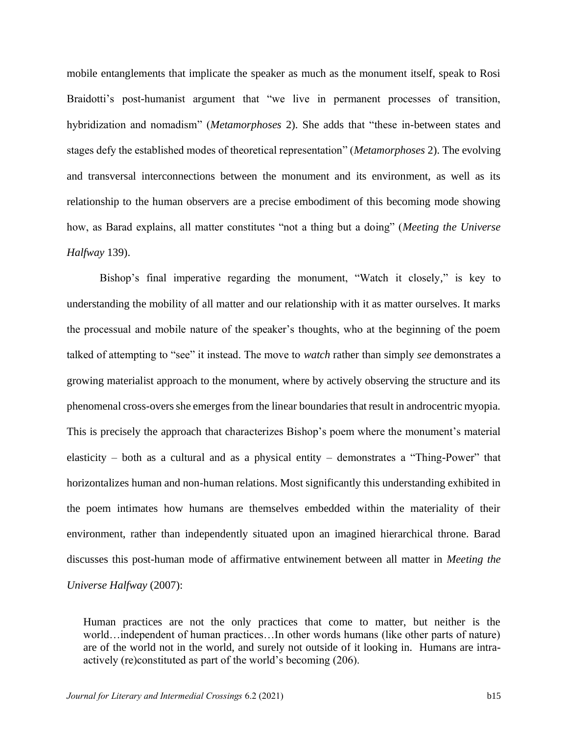mobile entanglements that implicate the speaker as much as the monument itself, speak to Rosi Braidotti's post-humanist argument that "we live in permanent processes of transition, hybridization and nomadism" (*Metamorphoses* 2). She adds that "these in-between states and stages defy the established modes of theoretical representation" (*Metamorphoses* 2). The evolving and transversal interconnections between the monument and its environment, as well as its relationship to the human observers are a precise embodiment of this becoming mode showing how, as Barad explains, all matter constitutes "not a thing but a doing" (*Meeting the Universe Halfway* 139).

Bishop's final imperative regarding the monument, "Watch it closely," is key to understanding the mobility of all matter and our relationship with it as matter ourselves. It marks the processual and mobile nature of the speaker's thoughts, who at the beginning of the poem talked of attempting to "see" it instead. The move to *watch* rather than simply *see* demonstrates a growing materialist approach to the monument, where by actively observing the structure and its phenomenal cross-overs she emerges from the linear boundaries that result in androcentric myopia. This is precisely the approach that characterizes Bishop's poem where the monument's material elasticity – both as a cultural and as a physical entity – demonstrates a "Thing-Power" that horizontalizes human and non-human relations. Most significantly this understanding exhibited in the poem intimates how humans are themselves embedded within the materiality of their environment, rather than independently situated upon an imagined hierarchical throne. Barad discusses this post-human mode of affirmative entwinement between all matter in *Meeting the Universe Halfway* (2007):

Human practices are not the only practices that come to matter, but neither is the world…independent of human practices…In other words humans (like other parts of nature) are of the world not in the world, and surely not outside of it looking in. Humans are intraactively (re)constituted as part of the world's becoming (206).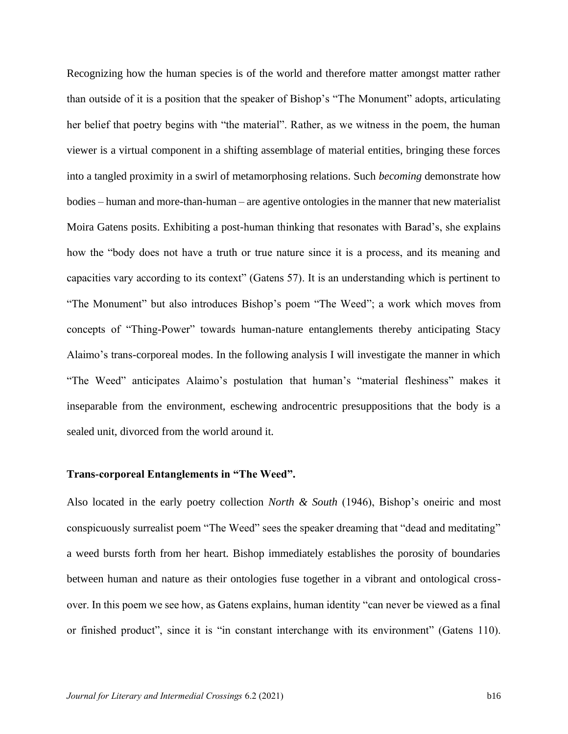Recognizing how the human species is of the world and therefore matter amongst matter rather than outside of it is a position that the speaker of Bishop's "The Monument" adopts, articulating her belief that poetry begins with "the material". Rather, as we witness in the poem, the human viewer is a virtual component in a shifting assemblage of material entities, bringing these forces into a tangled proximity in a swirl of metamorphosing relations. Such *becoming* demonstrate how bodies – human and more-than-human – are agentive ontologies in the manner that new materialist Moira Gatens posits. Exhibiting a post-human thinking that resonates with Barad's, she explains how the "body does not have a truth or true nature since it is a process, and its meaning and capacities vary according to its context" (Gatens 57). It is an understanding which is pertinent to "The Monument" but also introduces Bishop's poem "The Weed"; a work which moves from concepts of "Thing-Power" towards human-nature entanglements thereby anticipating Stacy Alaimo's trans-corporeal modes. In the following analysis I will investigate the manner in which "The Weed" anticipates Alaimo's postulation that human's "material fleshiness" makes it inseparable from the environment, eschewing androcentric presuppositions that the body is a sealed unit, divorced from the world around it.

# **Trans-corporeal Entanglements in "The Weed".**

Also located in the early poetry collection *North & South* (1946), Bishop's oneiric and most conspicuously surrealist poem "The Weed" sees the speaker dreaming that "dead and meditating" a weed bursts forth from her heart. Bishop immediately establishes the porosity of boundaries between human and nature as their ontologies fuse together in a vibrant and ontological crossover. In this poem we see how, as Gatens explains, human identity "can never be viewed as a final or finished product", since it is "in constant interchange with its environment" (Gatens 110).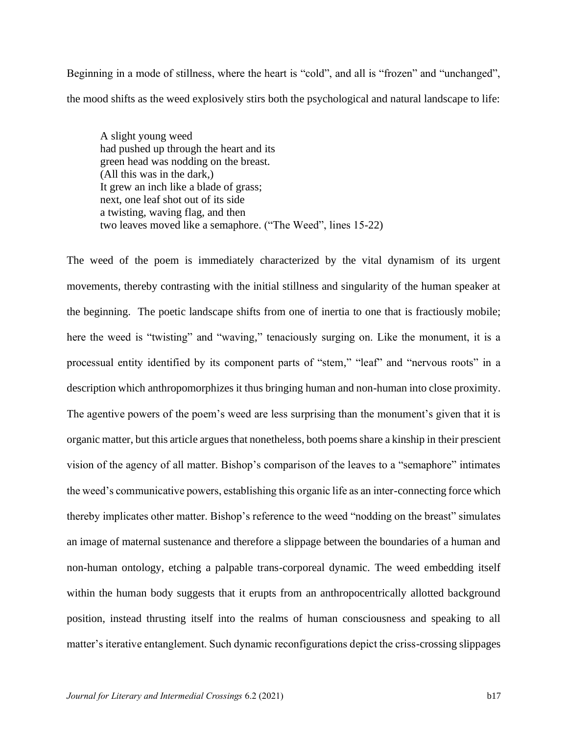Beginning in a mode of stillness, where the heart is "cold", and all is "frozen" and "unchanged", the mood shifts as the weed explosively stirs both the psychological and natural landscape to life:

A slight young weed had pushed up through the heart and its green head was nodding on the breast. (All this was in the dark,) It grew an inch like a blade of grass; next, one leaf shot out of its side a twisting, waving flag, and then two leaves moved like a semaphore. ("The Weed", lines 15-22)

The weed of the poem is immediately characterized by the vital dynamism of its urgent movements, thereby contrasting with the initial stillness and singularity of the human speaker at the beginning. The poetic landscape shifts from one of inertia to one that is fractiously mobile; here the weed is "twisting" and "waving," tenaciously surging on. Like the monument, it is a processual entity identified by its component parts of "stem," "leaf" and "nervous roots" in a description which anthropomorphizes it thus bringing human and non-human into close proximity. The agentive powers of the poem's weed are less surprising than the monument's given that it is organic matter, but this article argues that nonetheless, both poems share a kinship in their prescient vision of the agency of all matter. Bishop's comparison of the leaves to a "semaphore" intimates the weed's communicative powers, establishing this organic life as an inter-connecting force which thereby implicates other matter. Bishop's reference to the weed "nodding on the breast" simulates an image of maternal sustenance and therefore a slippage between the boundaries of a human and non-human ontology, etching a palpable trans-corporeal dynamic. The weed embedding itself within the human body suggests that it erupts from an anthropocentrically allotted background position, instead thrusting itself into the realms of human consciousness and speaking to all matter's iterative entanglement. Such dynamic reconfigurations depict the criss-crossing slippages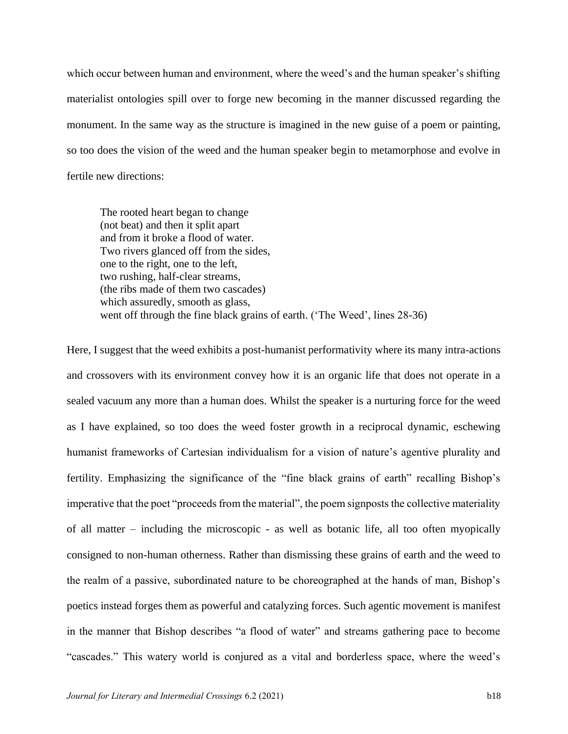which occur between human and environment, where the weed's and the human speaker's shifting materialist ontologies spill over to forge new becoming in the manner discussed regarding the monument. In the same way as the structure is imagined in the new guise of a poem or painting, so too does the vision of the weed and the human speaker begin to metamorphose and evolve in fertile new directions:

The rooted heart began to change (not beat) and then it split apart and from it broke a flood of water. Two rivers glanced off from the sides, one to the right, one to the left, two rushing, half-clear streams, (the ribs made of them two cascades) which assuredly, smooth as glass, went off through the fine black grains of earth. ('The Weed', lines 28-36)

Here, I suggest that the weed exhibits a post-humanist performativity where its many intra-actions and crossovers with its environment convey how it is an organic life that does not operate in a sealed vacuum any more than a human does. Whilst the speaker is a nurturing force for the weed as I have explained, so too does the weed foster growth in a reciprocal dynamic, eschewing humanist frameworks of Cartesian individualism for a vision of nature's agentive plurality and fertility. Emphasizing the significance of the "fine black grains of earth" recalling Bishop's imperative that the poet "proceeds from the material", the poem signposts the collective materiality of all matter – including the microscopic - as well as botanic life, all too often myopically consigned to non-human otherness. Rather than dismissing these grains of earth and the weed to the realm of a passive, subordinated nature to be choreographed at the hands of man, Bishop's poetics instead forges them as powerful and catalyzing forces. Such agentic movement is manifest in the manner that Bishop describes "a flood of water" and streams gathering pace to become "cascades." This watery world is conjured as a vital and borderless space, where the weed's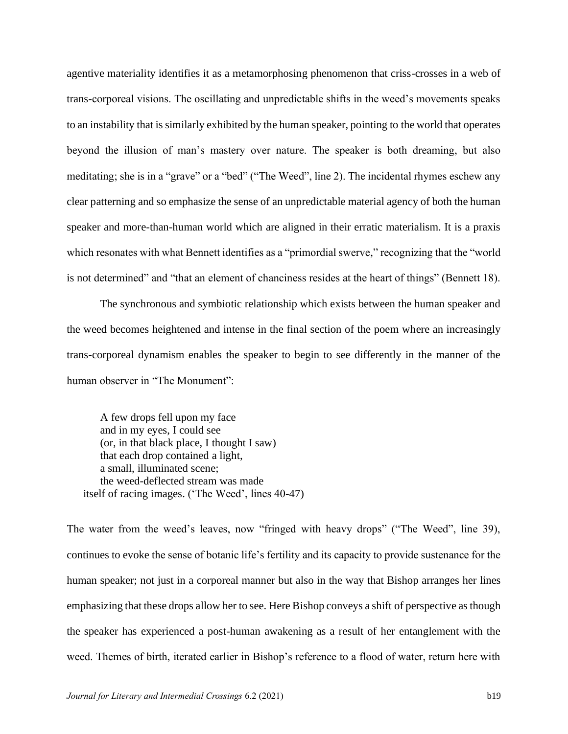agentive materiality identifies it as a metamorphosing phenomenon that criss-crosses in a web of trans-corporeal visions. The oscillating and unpredictable shifts in the weed's movements speaks to an instability that is similarly exhibited by the human speaker, pointing to the world that operates beyond the illusion of man's mastery over nature. The speaker is both dreaming, but also meditating; she is in a "grave" or a "bed" ("The Weed", line 2). The incidental rhymes eschew any clear patterning and so emphasize the sense of an unpredictable material agency of both the human speaker and more-than-human world which are aligned in their erratic materialism. It is a praxis which resonates with what Bennett identifies as a "primordial swerve," recognizing that the "world is not determined" and "that an element of chanciness resides at the heart of things" (Bennett 18).

The synchronous and symbiotic relationship which exists between the human speaker and the weed becomes heightened and intense in the final section of the poem where an increasingly trans-corporeal dynamism enables the speaker to begin to see differently in the manner of the human observer in "The Monument":

A few drops fell upon my face and in my eyes, I could see (or, in that black place, I thought I saw) that each drop contained a light, a small, illuminated scene; the weed-deflected stream was made itself of racing images. ('The Weed', lines 40-47)

The water from the weed's leaves, now "fringed with heavy drops" ("The Weed", line 39), continues to evoke the sense of botanic life's fertility and its capacity to provide sustenance for the human speaker; not just in a corporeal manner but also in the way that Bishop arranges her lines emphasizing that these drops allow her to see. Here Bishop conveys a shift of perspective as though the speaker has experienced a post-human awakening as a result of her entanglement with the weed. Themes of birth, iterated earlier in Bishop's reference to a flood of water, return here with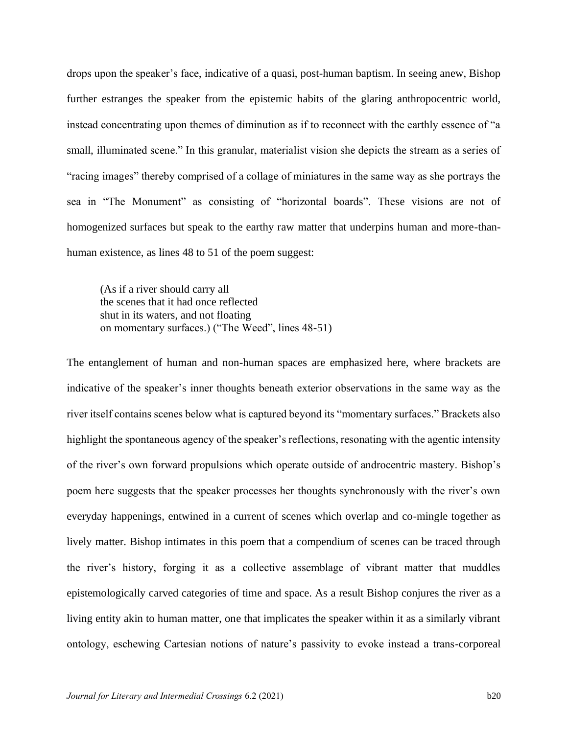drops upon the speaker's face, indicative of a quasi, post-human baptism. In seeing anew, Bishop further estranges the speaker from the epistemic habits of the glaring anthropocentric world, instead concentrating upon themes of diminution as if to reconnect with the earthly essence of "a small, illuminated scene." In this granular, materialist vision she depicts the stream as a series of "racing images" thereby comprised of a collage of miniatures in the same way as she portrays the sea in "The Monument" as consisting of "horizontal boards". These visions are not of homogenized surfaces but speak to the earthy raw matter that underpins human and more-thanhuman existence, as lines 48 to 51 of the poem suggest:

(As if a river should carry all the scenes that it had once reflected shut in its waters, and not floating on momentary surfaces.) ("The Weed", lines 48-51)

The entanglement of human and non-human spaces are emphasized here, where brackets are indicative of the speaker's inner thoughts beneath exterior observations in the same way as the river itself contains scenes below what is captured beyond its "momentary surfaces." Brackets also highlight the spontaneous agency of the speaker's reflections, resonating with the agentic intensity of the river's own forward propulsions which operate outside of androcentric mastery. Bishop's poem here suggests that the speaker processes her thoughts synchronously with the river's own everyday happenings, entwined in a current of scenes which overlap and co-mingle together as lively matter. Bishop intimates in this poem that a compendium of scenes can be traced through the river's history, forging it as a collective assemblage of vibrant matter that muddles epistemologically carved categories of time and space. As a result Bishop conjures the river as a living entity akin to human matter, one that implicates the speaker within it as a similarly vibrant ontology, eschewing Cartesian notions of nature's passivity to evoke instead a trans-corporeal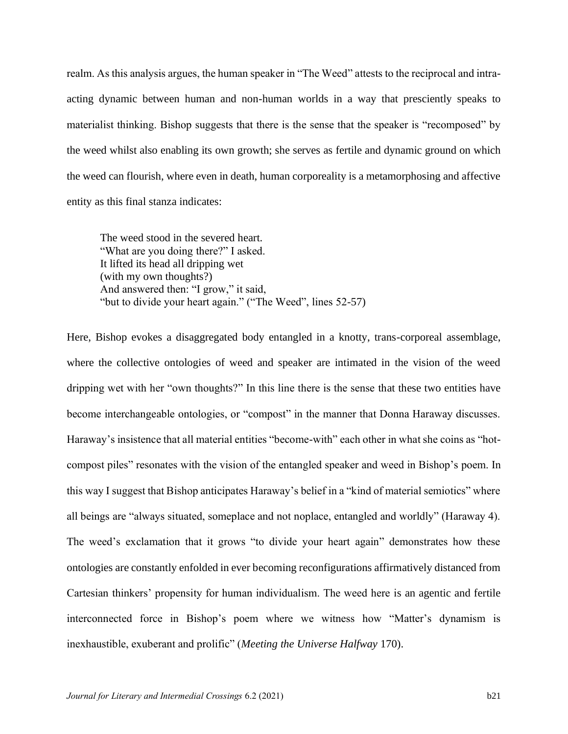realm. As this analysis argues, the human speaker in "The Weed" attests to the reciprocal and intraacting dynamic between human and non-human worlds in a way that presciently speaks to materialist thinking. Bishop suggests that there is the sense that the speaker is "recomposed" by the weed whilst also enabling its own growth; she serves as fertile and dynamic ground on which the weed can flourish, where even in death, human corporeality is a metamorphosing and affective entity as this final stanza indicates:

The weed stood in the severed heart. "What are you doing there?" I asked. It lifted its head all dripping wet (with my own thoughts?) And answered then: "I grow," it said, "but to divide your heart again." ("The Weed", lines 52-57)

Here, Bishop evokes a disaggregated body entangled in a knotty, trans-corporeal assemblage, where the collective ontologies of weed and speaker are intimated in the vision of the weed dripping wet with her "own thoughts?" In this line there is the sense that these two entities have become interchangeable ontologies, or "compost" in the manner that Donna Haraway discusses. Haraway's insistence that all material entities "become-with" each other in what she coins as "hotcompost piles" resonates with the vision of the entangled speaker and weed in Bishop's poem. In this way I suggest that Bishop anticipates Haraway's belief in a "kind of material semiotics" where all beings are "always situated, someplace and not noplace, entangled and worldly" (Haraway 4). The weed's exclamation that it grows "to divide your heart again" demonstrates how these ontologies are constantly enfolded in ever becoming reconfigurations affirmatively distanced from Cartesian thinkers' propensity for human individualism. The weed here is an agentic and fertile interconnected force in Bishop's poem where we witness how "Matter's dynamism is inexhaustible, exuberant and prolific" (*Meeting the Universe Halfway* 170).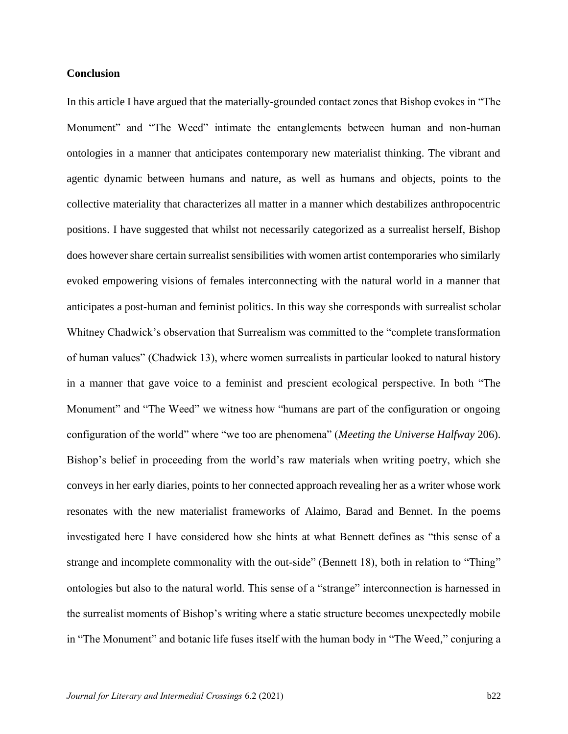### **Conclusion**

In this article I have argued that the materially-grounded contact zones that Bishop evokes in "The Monument" and "The Weed" intimate the entanglements between human and non-human ontologies in a manner that anticipates contemporary new materialist thinking. The vibrant and agentic dynamic between humans and nature, as well as humans and objects, points to the collective materiality that characterizes all matter in a manner which destabilizes anthropocentric positions. I have suggested that whilst not necessarily categorized as a surrealist herself, Bishop does however share certain surrealist sensibilities with women artist contemporaries who similarly evoked empowering visions of females interconnecting with the natural world in a manner that anticipates a post-human and feminist politics. In this way she corresponds with surrealist scholar Whitney Chadwick's observation that Surrealism was committed to the "complete transformation of human values" (Chadwick 13), where women surrealists in particular looked to natural history in a manner that gave voice to a feminist and prescient ecological perspective. In both "The Monument" and "The Weed" we witness how "humans are part of the configuration or ongoing configuration of the world" where "we too are phenomena" (*Meeting the Universe Halfway* 206). Bishop's belief in proceeding from the world's raw materials when writing poetry, which she conveys in her early diaries, points to her connected approach revealing her as a writer whose work resonates with the new materialist frameworks of Alaimo, Barad and Bennet. In the poems investigated here I have considered how she hints at what Bennett defines as "this sense of a strange and incomplete commonality with the out-side" (Bennett 18), both in relation to "Thing" ontologies but also to the natural world. This sense of a "strange" interconnection is harnessed in the surrealist moments of Bishop's writing where a static structure becomes unexpectedly mobile in "The Monument" and botanic life fuses itself with the human body in "The Weed," conjuring a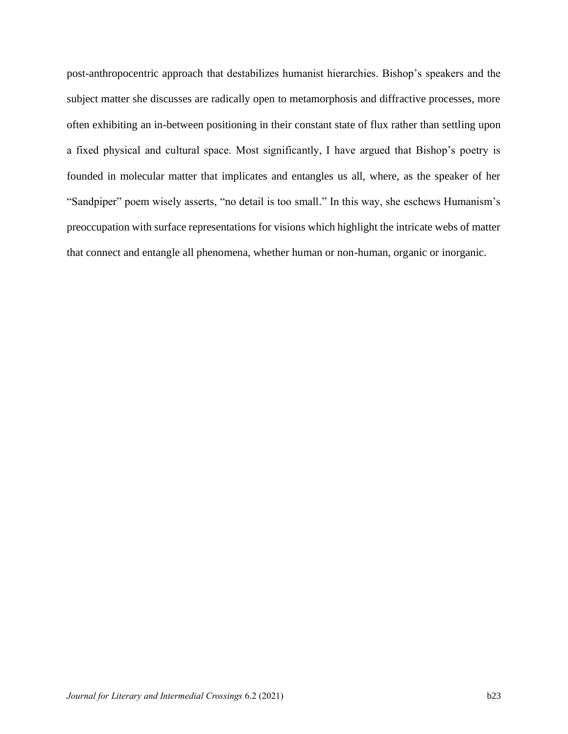post-anthropocentric approach that destabilizes humanist hierarchies. Bishop's speakers and the subject matter she discusses are radically open to metamorphosis and diffractive processes, more often exhibiting an in-between positioning in their constant state of flux rather than settling upon a fixed physical and cultural space. Most significantly, I have argued that Bishop's poetry is founded in molecular matter that implicates and entangles us all, where, as the speaker of her "Sandpiper" poem wisely asserts, "no detail is too small." In this way, she eschews Humanism's preoccupation with surface representations for visions which highlight the intricate webs of matter that connect and entangle all phenomena, whether human or non-human, organic or inorganic.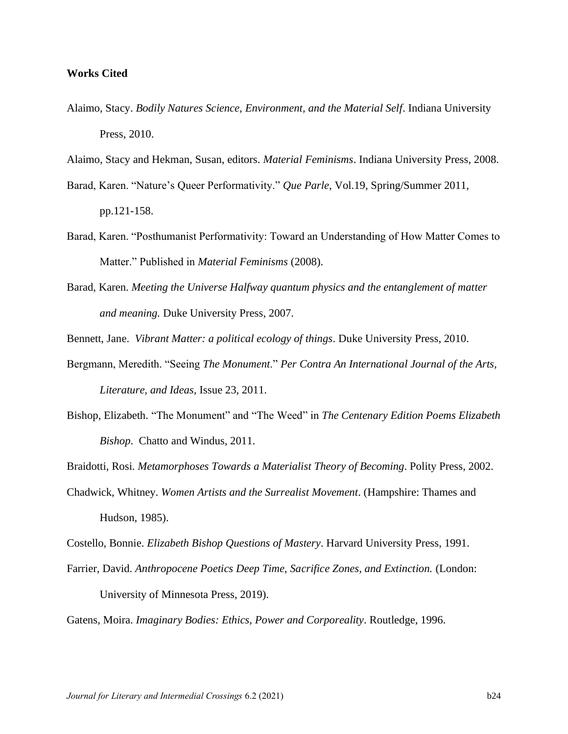#### **Works Cited**

- Alaimo, Stacy. *Bodily Natures Science, Environment, and the Material Self*. Indiana University Press, 2010.
- Alaimo, Stacy and Hekman, Susan, editors. *Material Feminisms*. Indiana University Press, 2008.
- Barad, Karen. "Nature's Queer Performativity." *Que Parle*, Vol.19, Spring/Summer 2011, pp.121-158.
- Barad, Karen. "Posthumanist Performativity: Toward an Understanding of How Matter Comes to Matter." Published in *Material Feminisms* (2008).
- Barad, Karen. *Meeting the Universe Halfway quantum physics and the entanglement of matter and meaning.* Duke University Press, 2007.

Bennett, Jane. *Vibrant Matter: a political ecology of things*. Duke University Press, 2010.

- Bergmann, Meredith. "Seeing *The Monument*." *Per Contra An International Journal of the Arts, Literature, and Ideas,* Issue 23, 2011.
- Bishop, Elizabeth. "The Monument" and "The Weed" in *The Centenary Edition Poems Elizabeth Bishop*. Chatto and Windus, 2011.

Braidotti, Rosi. *Metamorphoses Towards a Materialist Theory of Becoming*. Polity Press, 2002.

Chadwick, Whitney. *Women Artists and the Surrealist Movement*. (Hampshire: Thames and Hudson, 1985).

Costello, Bonnie. *Elizabeth Bishop Questions of Mastery*. Harvard University Press, 1991.

Farrier, David. *Anthropocene Poetics Deep Time, Sacrifice Zones, and Extinction.* (London: University of Minnesota Press, 2019).

Gatens, Moira. *Imaginary Bodies: Ethics, Power and Corporeality*. Routledge, 1996.